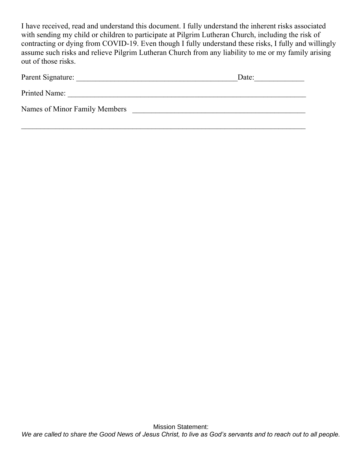I have received, read and understand this document. I fully understand the inherent risks associated with sending my child or children to participate at Pilgrim Lutheran Church, including the risk of contracting or dying from COVID-19. Even though I fully understand these risks, I fully and willingly assume such risks and relieve Pilgrim Lutheran Church from any liability to me or my family arising out of those risks.

| Parent Signature:             | Date: |
|-------------------------------|-------|
| Printed Name:                 |       |
| Names of Minor Family Members |       |
|                               |       |